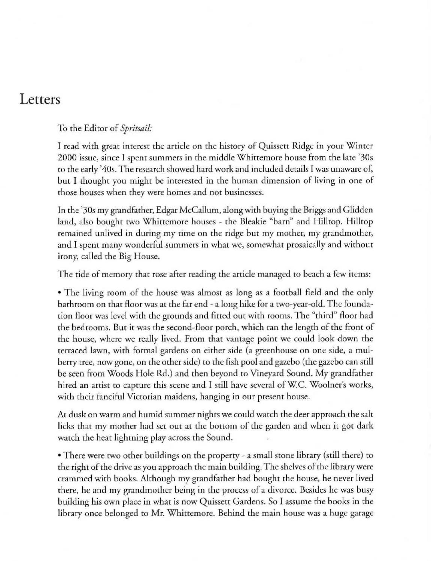## **Letters**

To the Editor of Spritsail:

I read with great interest the article on the history of Quissett Ridge in your Winter **2000 issue, since I spent summers in [he middle Whittemore house from the late '30s**  to the early '40s. T he research showed hard work and in cluded details I was unaware of, but I thought you might be interested in the human dimension of living in one of those houses when they were homes and not businesses.

In the '30s my grandfather, Edgar McCallum, along with buying the Briggs and Glidden land, also bought two Whittemore houses - the Bleakie "barn" and Hilltop. Hilltop remained unlived in during my time on the ridge but my mother, my grandmother, and I spent many wonderful summers in what we, somewhat prosaically and without irony, called the Big House.

The tide of memory that rose after reading the article managed to beach a few items:

• The living room of the house was almost as long as a football field and the only bathroom on that floor was at the far end - a long hike for a two-year-old. The foundation Aoor was level with the grounds and fitted out with rooms. The "third" floor had the bedrooms. But it was the second-floor porch, which ran the length of the front of the house, where we really lived. From that vantage point we could look down the terraced lawn, with formal gardens on either side (a greenhouse on one side, a mulberry tree, now gone, on the other side) to the fish pool and gazebo (the gazebo can still be seen from Woods Hole Rd.) and then beyond to Vineyard Sound. My grandfather hired an artist to capture this scene and I still have several of W.C. Woolner's works, with their fanciful Victorian maidens, hanging in our present house.

At dusk on warm and humid summer nights we could watch the deer approach the salt licks that my mother had set out at the bottom of the garden and when it got dark watch the heat lightning play across the Sound.

• There were two other buildings on the property - a small stone library (still there) to the right of the drive as you approach the main building. The shelves of the library were crammed with books. Although my grandfather had bought the house, he never lived there, he and my grandmother being in the process of a divorce. Besides be was busy building his own place in what is now Quissett Gardens. So I asswne the books in the libtary once belonged to Mr. Whittemore. Behind the main house was a huge garage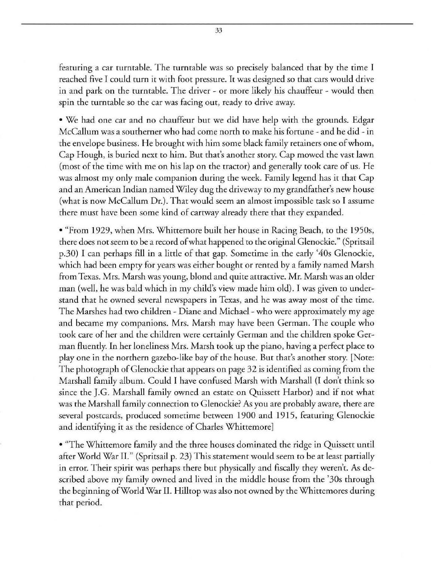featuring a car turntable. The turntable was so precisely balanced that by the time J **reached fi ve T could [Urn it with foot pressure. It was designed so that cars would drive in and park on the turntable. The driver - or more likely his chauffeur - would then spin the turntable so the car was facing out, ready to drive away.** 

• We had one car and no chauffeur but we did have help with the grounds. Edgar McCallum was a southerner who had come north to make his fortune - and he did - in **the envelope business. He brought with him some black family retainers one of whom, Cap Hough. is buried next to him. But that's another story. Cap mowed the vast lawn**  (most of the time with me on his lap on the tractor) and generally took care of us. He was almost my only male companion during the week. Family legend has it that Cap and an Ametican Indian named Wiley dug the driveway to my grandfather's new house (what is now McCallum Dr.). That would seem an almost impossible task so I assume there must have been some kind of cartway already there that they expanded.

• "From 1929, when Mrs. Whittemore built her house in Racing Beach, to the 1950s, there does not seem to be a record of what happened to the original Clenockie." (Spritsail p.30) I can perhaps fill in a little of that gap. Sometime in the early '40s Clenockie, which had been empty for years was either bought or rented by a family named Marsh **From Texas. Mrs. Marsh was young, blond and quite attractive. Mr. Marsh was an older**  man (well, he was bald which in my child's view made him old). J was given to under**stand [hat he owned several newspapers in Texas, and he was away most of the time.**  The Marshes had two children - Diane and Michael - who were approximately my age **and became my companions. Mrs. Marsh may have been German. The couple who**  took care of her and the children were certainly Cerman and the childten spoke Cerman fluently. In her loneliness Mrs. Marsh took up the piano, having a perfect place to play one in the northern gazebo-like bay of the house. But that's another story. [Note: The photograph of Glenockie that appears on page 32 is identified as coming from the Marshall family album. Could I have confused Marsh with Marshall (I don't think so since the J.C. Marshall family owned an estate on Quissett Harbor) and if not what was the Marshall family connection to Glenockie? As you are probably aware, there are several postcards, produced sometime between 1900 and 1915 , featuring Clenockie and identifying it as the residence of Charles Whittemore]

• "The Whittemore family and the three houses dominated the ridge in Quissett until after World War lI " (Spritsail p. 23) This statement would seem to be at least partially in error. Their spirit was pethaps there but physically and fiscally they weren't. As described above my family owned and lived in the middle house from the '30s through the beginning of World War II. Hillrop was also not owned by the Whittemores during that period.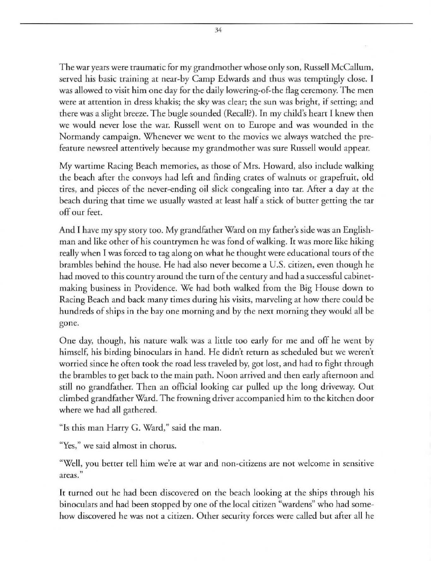The war years were rraumatic for my grandmother whose only son, Russell McCallum, served his basic rraining ar near-by Camp Edwards and thus was remptingly close. I was allowed to visit him one day for the daily lowering-of-the flag ceremony. The men were at attention in dress khakis; the sky was clear; the sun was bright, if setting; and there was a slight breeze. The bugle sounded (Recall?). In my child's heart I knew then **we would never lose the war. Russell went on to Europe and was wounded in the**  Normandy campaign. Whenever we went to the movies we always watched the prefeature newsreel attentively because my grandmother was sure Russell would appear.

My wartime Racing Beach memories, as those of Mrs. Howard, also include walking the beach after the convoys had left and finding crates of walnuts or grapefruit, old tires, and pieces of the never-ending oil slick congealing into tar. After a day at the beach during that time we usually wasted at least half a stick of butter getting the tar off our feet.

And I have my spy story too. My grandfather Ward on my father's side was an Englishman and like other of his countrymen he was fond of walking. It was more like hiking really when I was forced to tag along on what he thought were educational tours of the brambles behind the house. He had also never become a U.S. citizen, even though he had moved to this counrry around the rurn of the century and had a successful cabinetmaking business in Providence. We had both walked from the Big House down to Racing Beach and back many times during his visits, marveling at how there could be hundreds of ships in the bay one morning and by the next morning they would all be **gone.** 

One day, though, his nature walk was a lirde too early for me and off he went by himself, his birding binoculars in hand. He didn't return as scheduled but we weren't worried since he often took the road less traveled by, got lost, and had to fight through the brambles to get back to the main path. Noon arrived and then early afternoon and still no grandfather. Then an official looking car pulled up the long driveway. Our climbed grandfather Ward. The frowning driver accompanied him to the kitchen door where we had all gathered.

"Is this man Harry G. Ward," said the man.

**"Yes," we said almost in chorus.** 

"Well, you better tell him we're at war and non-citizens are not welcome in sensitive **areas."** 

It turned out he had been discovered on the beach looking at the ships through his binoculars and had been stopped by one of the local citizen "wardens" who had some**how discovered he was not a cicizen. Other security forces were called but after all he**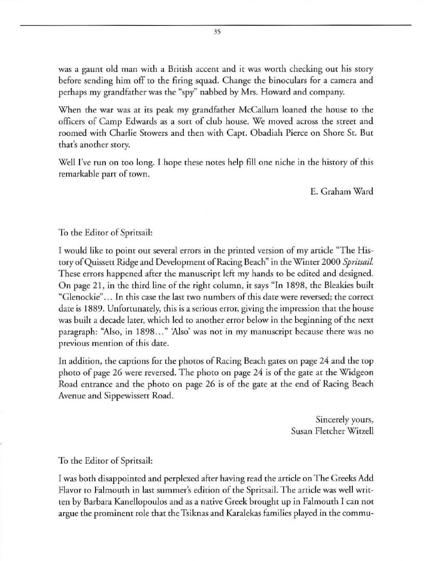was a gaunt old man with a British accent and it was worth checking out his story before sending him off to the firing squad. Change the binoculars for a camera and perhaps my grandfather was the "spy" nabbed by Mrs. Howard and company.

When the war was at its peak my grandfather McCallum loaned the house to the officers of Camp Edwards as a sort of club house. We moved across the street and roomed with Charlie Stowers and then with Capt. Obadiah Pierce on Shore St. But **thac's another story.** 

Well I've run on too long. I hope these notes help fill one niche in the history of this remarkable part of town.

E. Graham Ward

To the Editor of Spritsail:

I would like to point out several errors in the printed version of my article "The History of Quissett Ridge and Development of Racing Beach" in the Winter 2000 Spritsail. These errors happened after the manuscript left my hands to be edited and designed. On page 21, in the third line of the right column, it says "In 1898, the Bleakies built **"Glenocki e" ... Tn this case the last two numbers of this date were reversed; rhe correct**  date is 1889. Unfortunately, this is a serious error, giving the impression that the house was builr a decade later, which led to another error below in the beginning of the next **paragraph: "Also. in 1898 .. . " 'Also' was not in my manuscript because there was no previous mention of thjs date.** 

In addition, the captions for the photos of Racing Beach gates on page 24 and the top photo of page 26 were reversed. The photo on page 24 is of the gate at the Widgeon Road entrance and the photo on page 26 is of the gate at the end of Racing Beach Avenue and Sippewissett Road.

> Sincerely yours, Susan Fletcher Witzel!

To the Editor of Spritsail:

I was both disappointed and perplexed after having read the article on The Greeks Add Flavor to Falmouth in last summer's edition of the Spritsail. The article was well written by Barbara Kanellopoulos and as a native Greek brought up in Falmouth I can not argue the prominent role that the Tsiknas and Karalekas fami lies played in the commu